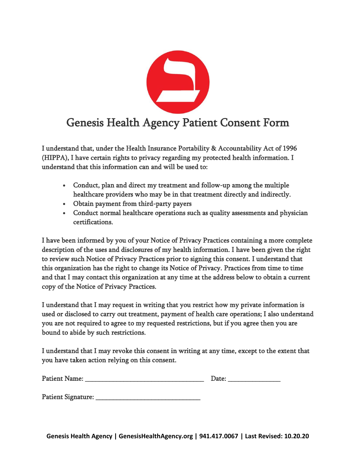

I understand that, under the Health Insurance Portability & Accountability Act of 1996 (HIPPA), I have certain rights to privacy regarding my protected health information. I understand that this information can and will be used to:

- Conduct, plan and direct my treatment and follow-up among the multiple healthcare providers who may be in that treatment directly and indirectly.
- Obtain payment from third-party payers
- Conduct normal healthcare operations such as quality assessments and physician certifications.

I have been informed by you of your Notice of Privacy Practices containing a more complete description of the uses and disclosures of my health information. I have been given the right to review such Notice of Privacy Practices prior to signing this consent. I understand that this organization has the right to change its Notice of Privacy. Practices from time to time and that I may contact this organization at any time at the address below to obtain a current copy of the Notice of Privacy Practices.

I understand that I may request in writing that you restrict how my private information is used or disclosed to carry out treatment, payment of health care operations; I also understand you are not required to agree to my requested restrictions, but if you agree then you are bound to abide by such restrictions.

I understand that I may revoke this consent in writing at any time, except to the extent that you have taken action relying on this consent.

| <b>Patient Name:</b> | .)ater |
|----------------------|--------|
|                      |        |

Patient Signature: \_\_\_\_\_\_\_\_\_\_\_\_\_\_\_\_\_\_\_\_\_\_\_\_\_\_\_\_\_\_